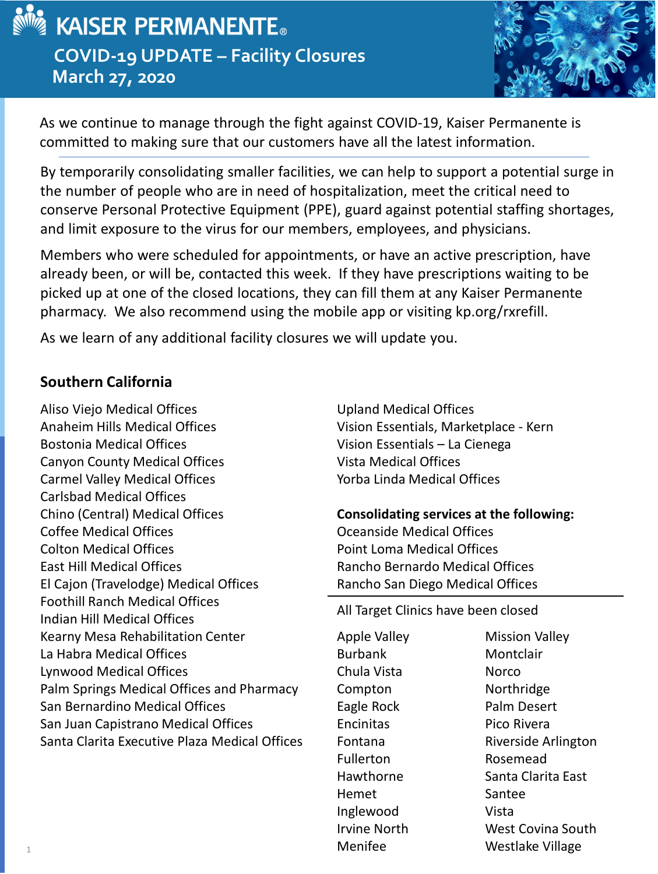

# $\boldsymbol{\mathsf{\r q}}$  kaiser permanente. **COVID-19 UPDATE – Facility Closures March 27, 2020**



As we continue to manage through the fight against COVID-19, Kaiser Permanente is committed to making sure that our customers have all the latest information.

By temporarily consolidating smaller facilities, we can help to support a potential surge in the number of people who are in need of hospitalization, meet the critical need to conserve Personal Protective Equipment (PPE), guard against potential staffing shortages, and limit exposure to the virus for our members, employees, and physicians.

Members who were scheduled for appointments, or have an active prescription, have already been, or will be, contacted this week. If they have prescriptions waiting to be picked up at one of the closed locations, they can fill them at any Kaiser Permanente pharmacy. We also recommend using the mobile app or visiting kp.org/rxrefill.

As we learn of any additional facility closures we will update you.

## **Southern California**

Aliso Viejo Medical Offices Anaheim Hills Medical Offices Bostonia Medical Offices Canyon County Medical Offices Carmel Valley Medical Offices Carlsbad Medical Offices Chino (Central) Medical Offices Coffee Medical Offices Colton Medical Offices East Hill Medical Offices El Cajon (Travelodge) Medical Offices Foothill Ranch Medical Offices Indian Hill Medical Offices Kearny Mesa Rehabilitation Center La Habra Medical Offices Lynwood Medical Offices Palm Springs Medical Offices and Pharmacy San Bernardino Medical Offices San Juan Capistrano Medical Offices Santa Clarita Executive Plaza Medical Offices

Upland Medical Offices Vision Essentials, Marketplace - Kern Vision Essentials – La Cienega Vista Medical Offices Yorba Linda Medical Offices

## **Consolidating services at the following:** Oceanside Medical Offices Point Loma Medical Offices Rancho Bernardo Medical Offices Rancho San Diego Medical Offices

All Target Clinics have been closed

Apple Valley Burbank Chula Vista Compton Eagle Rock **Encinitas** Fontana Fullerton Hawthorne Hemet Inglewood Irvine North Menifee

Mission Valley **Montclair** Norco Northridge Palm Desert Pico Rivera Riverside Arlington Rosemead Santa Clarita East Santee Vista West Covina South Westlake Village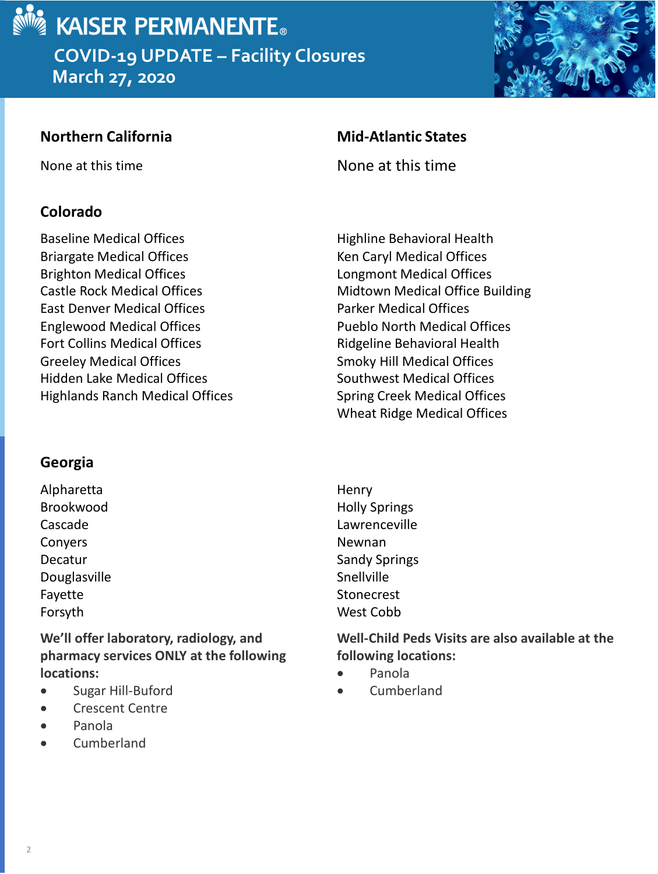

**March 27, 2020**



## **Colorado**

Baseline Medical Offices Briargate Medical Offices Brighton Medical Offices Castle Rock Medical Offices East Denver Medical Offices Englewood Medical Offices Fort Collins Medical Offices Greeley Medical Offices Hidden Lake Medical Offices Highlands Ranch Medical Offices

## **Georgia**

Alpharetta Brookwood Cascade Conyers Decatur Douglasville Fayette Forsyth

**We'll offer laboratory, radiology, and pharmacy services ONLY at the following locations:**

- Sugar Hill-Buford
- Crescent Centre
- Panola
- Cumberland

## **Northern California Mid-Atlantic States**

None at this time None at this time

Highline Behavioral Health Ken Caryl Medical Offices Longmont Medical Offices Midtown Medical Office Building Parker Medical Offices Pueblo North Medical Offices Ridgeline Behavioral Health Smoky Hill Medical Offices Southwest Medical Offices Spring Creek Medical Offices Wheat Ridge Medical Offices

**Henry** Holly Springs Lawrenceville Newnan Sandy Springs **Snellville** Stonecrest West Cobb

**Well-Child Peds Visits are also available at the following locations:**

- Panola
- Cumberland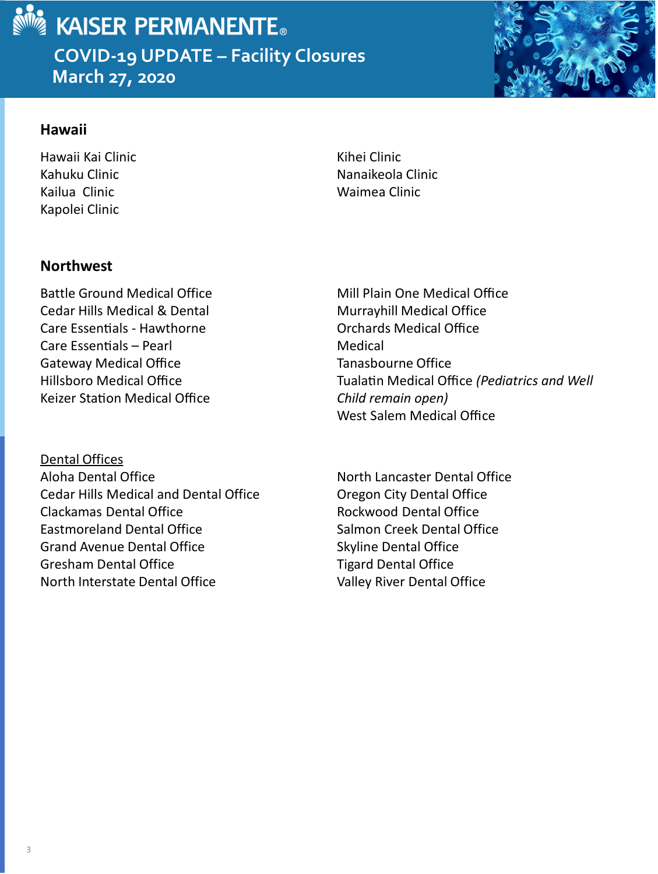

 $\boldsymbol{\mathsf{\r q}}$  kaiser permanente. **COVID-19 UPDATE – Facility Closures** 

**March 27, 2020**



## **Hawaii**

Hawaii Kai Clinic Kahuku Clinic Kailua Clinic Kapolei Clinic

Kihei Clinic Nanaikeola Clinic Waimea Clinic

## **Northwest**

Battle Ground Medical Office Cedar Hills Medical & Dental Care Essentials - Hawthorne Care Essentials – Pearl Gateway Medical Office Hillsboro Medical Office Keizer Station Medical Office

Dental Offices Aloha Dental Office Cedar Hills Medical and Dental Office Clackamas Dental Office Eastmoreland Dental Office Grand Avenue Dental Office Gresham Dental Office North Interstate Dental Office

 Mill Plain One Medical Office Murrayhill Medical Office Orchards Medical Office Medical Tanasbourne Office **Tualatin Medical Office (Pediatrics and Well** *Child remain open)* West Salem Medical Office

North Lancaster Dental Office Oregon City Dental Office Rockwood Dental Office Salmon Creek Dental Office Skyline Dental Office Tigard Dental Office Valley River Dental Office